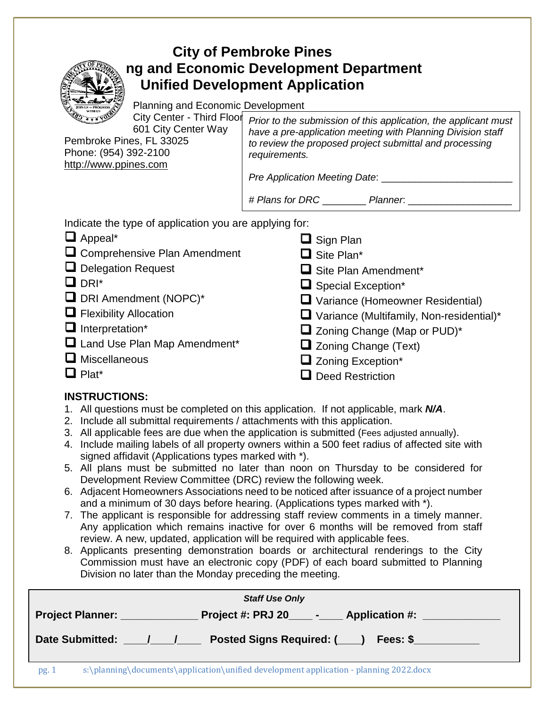# **City of Pembroke Pines Planning and Economic Development Department Unified Development Application**

Planning and Economic Development

City Center - Third Floor 601 City Center Way Pembroke Pines, FL 33025

Phone: (954) 392-2100 [http://www.ppines.com](http://www.ppines.com/)

*Prior to the submission of this application, the applicant must have a pre-application meeting with Planning Division staff to review the proposed project submittal and processing requirements.* 

*Pre Application Meeting Date:* 

**□** Sign Plan

*# Plans for DRC* \_\_\_\_\_\_\_\_ *Planner*: \_\_\_\_\_\_\_\_\_\_\_\_\_\_\_\_\_\_\_

Indicate the type of application you are applying for:

- **Q** Appeal\*
- **□** Comprehensive Plan Amendment
- Delegation Request
- $\Box$  DRI\*
- $\Box$  DRI Amendment (NOPC)\*
- **O** Flexibility Allocation
- Interpretation\*
- $\Box$  Land Use Plan Map Amendment\*
- $\Box$  Miscellaneous
- $\Box$  Plat\*
- □ Site Plan\*
- **□** Site Plan Amendment\*
- $\Box$  Special Exception\*
- Variance (Homeowner Residential)
- Variance (Multifamily, Non-residential)\*
- $\Box$  Zoning Change (Map or PUD)\*
- $\Box$  Zoning Change (Text)
- $\Box$  Zoning Exception\*
- Deed Restriction

## **INSTRUCTIONS:**

- 1. All questions must be completed on this application. If not applicable, mark *N/A*.
- 2. Include all submittal requirements / attachments with this application.
- 3. All applicable fees are due when the application is submitted (Fees adjusted annually).
- 4. Include mailing labels of all property owners within a 500 feet radius of affected site with signed affidavit (Applications types marked with \*).
- 5. All plans must be submitted no later than noon on Thursday to be considered for Development Review Committee (DRC) review the following week.
- 6. Adjacent Homeowners Associations need to be noticed after issuance of a project number and a minimum of 30 days before hearing. (Applications types marked with \*).
- 7. The applicant is responsible for addressing staff review comments in a timely manner. Any application which remains inactive for over 6 months will be removed from staff review. A new, updated, application will be required with applicable fees.
- 8. Applicants presenting demonstration boards or architectural renderings to the City Commission must have an electronic copy (PDF) of each board submitted to Planning Division no later than the Monday preceding the meeting.

| <b>Staff Use Only</b>              |                                                                                        |  |  |  |  |
|------------------------------------|----------------------------------------------------------------------------------------|--|--|--|--|
|                                    | Project #: PRJ 20_____________ Application #:<br><b>Project Planner:</b>               |  |  |  |  |
| <b>Date Submitted:</b><br>Fees: \$ |                                                                                        |  |  |  |  |
| pg.1                               | s:\planning\documents\application\unified development application - planning 2022.docx |  |  |  |  |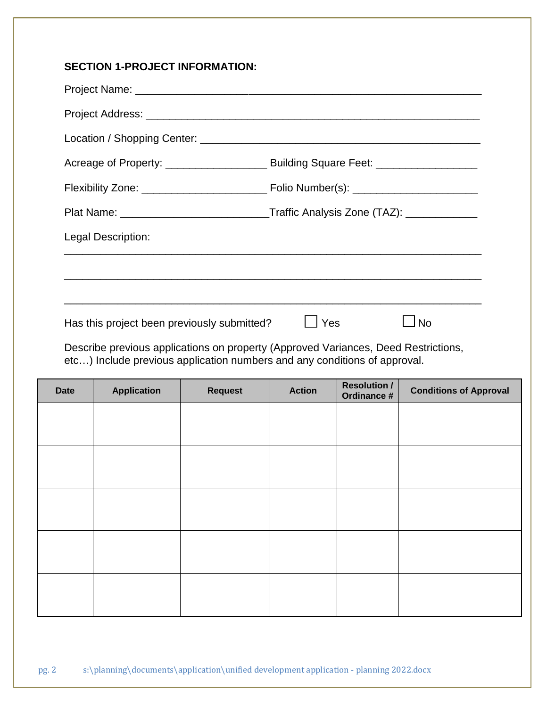### **SECTION 1-PROJECT INFORMATION:**

| Legal Description:                          |                                                                                                                                            |  |  |
|---------------------------------------------|--------------------------------------------------------------------------------------------------------------------------------------------|--|--|
|                                             |                                                                                                                                            |  |  |
|                                             | ,一个人的人都是一个人的人,我们就是一个人的人,我们就是一个人的人,我们就是一个人的人,我们就是一个人的人,我们就是一个人的人,我们就是一个人的人,我们就是一个人                                                          |  |  |
| Has this project been previously submitted? | <u> 1989 - Jan Samuel Barbara, margaret a shekara ta 1989 - An tsara tsa a shekara tsa a shekara tsa a shekara t</u><br><b>No</b><br>l Yes |  |  |
|                                             | Describe provious applications on property (Approved Variances, Deed Postrictions                                                          |  |  |

Describe previous applications on property (Approved Variances, Deed Restrictions, etc…) Include previous application numbers and any conditions of approval.

| <b>Date</b> | <b>Application</b> | <b>Request</b> | <b>Action</b> | <b>Resolution /</b><br>Ordinance # | <b>Conditions of Approval</b> |
|-------------|--------------------|----------------|---------------|------------------------------------|-------------------------------|
|             |                    |                |               |                                    |                               |
|             |                    |                |               |                                    |                               |
|             |                    |                |               |                                    |                               |
|             |                    |                |               |                                    |                               |
|             |                    |                |               |                                    |                               |
|             |                    |                |               |                                    |                               |
|             |                    |                |               |                                    |                               |
|             |                    |                |               |                                    |                               |
|             |                    |                |               |                                    |                               |
|             |                    |                |               |                                    |                               |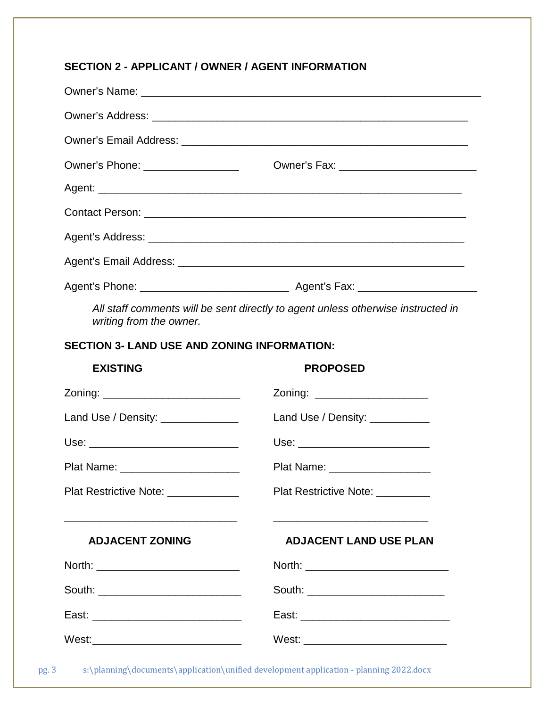### **SECTION 2 - APPLICANT / OWNER / AGENT INFORMATION**

|                                                                                                             | Owner's Phone: __________________ |  |  |  |
|-------------------------------------------------------------------------------------------------------------|-----------------------------------|--|--|--|
|                                                                                                             |                                   |  |  |  |
|                                                                                                             |                                   |  |  |  |
|                                                                                                             |                                   |  |  |  |
|                                                                                                             |                                   |  |  |  |
|                                                                                                             |                                   |  |  |  |
| All staff comments will be sent directly to agent unless otherwise instructed in<br>writing from the owner. |                                   |  |  |  |
| <b>SECTION 3- LAND USE AND ZONING INFORMATION:</b>                                                          |                                   |  |  |  |
| <b>EXISTING</b><br><b>PROPOSED</b>                                                                          |                                   |  |  |  |
|                                                                                                             | Zoning: _______________________   |  |  |  |
| Land Use / Density: ______________<br>Land Use / Density: __________                                        |                                   |  |  |  |
| Use: _________________________________                                                                      | Use: ___________________________  |  |  |  |
| Plat Name: _______________________                                                                          | Plat Name: ___________________    |  |  |  |
| Plat Restrictive Note: _____________                                                                        | Plat Restrictive Note: _________  |  |  |  |
|                                                                                                             |                                   |  |  |  |

### **ADJACENT ZONING ADJACENT LAND USE PLAN**

| North: ______________________________  |                                    |
|----------------------------------------|------------------------------------|
| South: ____________________________    | South: ___________________________ |
|                                        |                                    |
| West:_________________________________ |                                    |

pg. 3 s:\planning\documents\application\unified development application - planning 2022.docx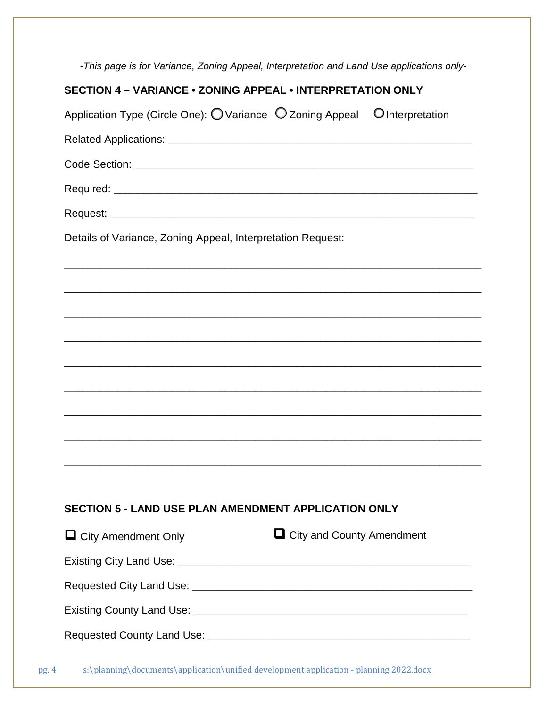|                                                             | -This page is for Variance, Zoning Appeal, Interpretation and Land Use applications only-             |
|-------------------------------------------------------------|-------------------------------------------------------------------------------------------------------|
| SECTION 4 - VARIANCE . ZONING APPEAL . INTERPRETATION ONLY  |                                                                                                       |
|                                                             | Application Type (Circle One): $\bigcirc$ Variance $\bigcirc$ Zoning Appeal $\bigcirc$ Interpretation |
|                                                             |                                                                                                       |
|                                                             |                                                                                                       |
|                                                             |                                                                                                       |
|                                                             |                                                                                                       |
| Details of Variance, Zoning Appeal, Interpretation Request: |                                                                                                       |
|                                                             |                                                                                                       |
|                                                             |                                                                                                       |
|                                                             |                                                                                                       |
|                                                             |                                                                                                       |
|                                                             |                                                                                                       |
|                                                             |                                                                                                       |
|                                                             |                                                                                                       |
|                                                             |                                                                                                       |
|                                                             |                                                                                                       |
|                                                             |                                                                                                       |
| <b>SECTION 5 - LAND USE PLAN AMENDMENT APPLICATION ONLY</b> |                                                                                                       |
| $\Box$ City Amendment Only                                  | $\Box$ City and County Amendment                                                                      |
|                                                             |                                                                                                       |
|                                                             |                                                                                                       |
|                                                             |                                                                                                       |
|                                                             |                                                                                                       |
|                                                             | c) planning decumente application unified development application subming 2022 decy                   |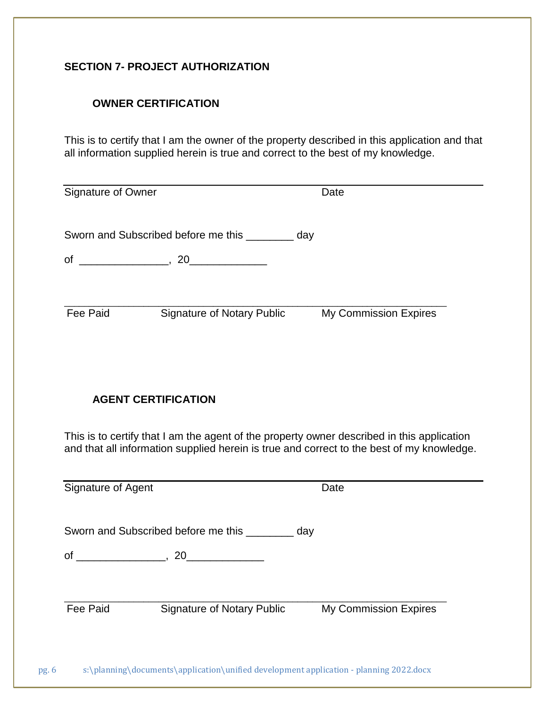### **SECTION 7- PROJECT AUTHORIZATION**

### **OWNER CERTIFICATION**

This is to certify that I am the owner of the property described in this application and that all information supplied herein is true and correct to the best of my knowledge.

| Signature of Owner         |                                                                                            | Date                                                                                      |
|----------------------------|--------------------------------------------------------------------------------------------|-------------------------------------------------------------------------------------------|
|                            | Sworn and Subscribed before me this _________ day                                          |                                                                                           |
|                            |                                                                                            |                                                                                           |
| Fee Paid                   | <b>Signature of Notary Public</b>                                                          | My Commission Expires                                                                     |
| <b>AGENT CERTIFICATION</b> |                                                                                            |                                                                                           |
|                            | This is to certify that I am the agent of the property owner described in this application | and that all information supplied herein is true and correct to the best of my knowledge. |
| Signature of Agent         |                                                                                            | Date                                                                                      |
|                            | Sworn and Subscribed before me this _________ day                                          |                                                                                           |
|                            |                                                                                            |                                                                                           |
| Fee Paid                   | <b>Signature of Notary Public</b>                                                          | My Commission Expires                                                                     |

pg. 6 s:\planning\documents\application\unified development application - planning 2022.docx